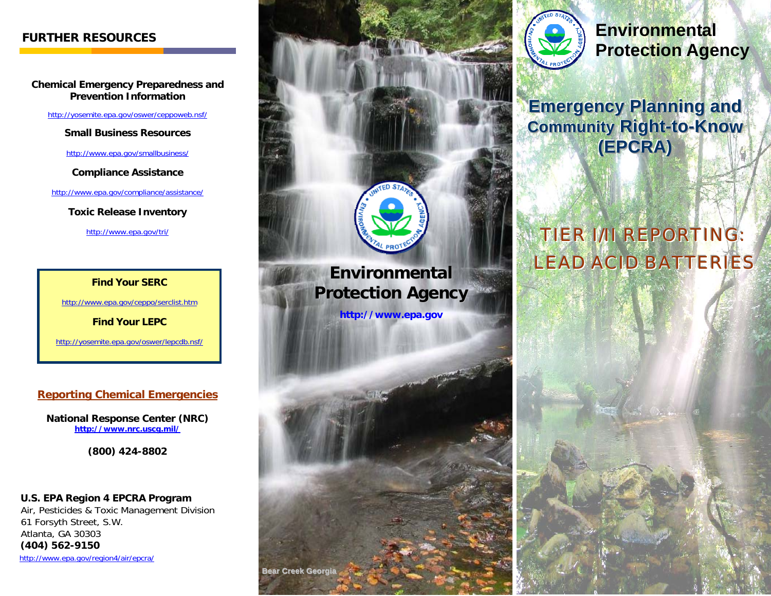**Chemical Emergency Preparedness and Prevention Information** 

http://yosemite.epa.gov/oswer/ceppoweb.nsf/

**Small Business Resources** 

http://www.epa.gov/smallbusiness/

**Compliance Assistance** 

http://www.epa.gov/compliance/assistance/

**Toxic Release Inventory** 

http://www.epa.gov/tri/

**Find Your SERC** 

http://www.epa.gov/ceppo/serclist.htm

**Find Your LEPC** 

http://yosemite.epa.gov/oswer/lepcdb.nsf/

#### **Reporting Chemical Emergencies**

**National Response Center (NRC) http://www.nrc.uscg.mil/**

**(800) 424-8802** 

 **U.S. EPA Region 4 EPCRA Program** Air, Pesticides & Toxic Management Division 61 Forsyth Street, S.W. Atlanta, GA 30303  **(404) 562-9150**  http://www.epa.gov/region4/air/epcra/





## **Protection Agency**

**Emergency Planning and Community Right-to-Know ((EEPPCCRRAA))**

# TIER I/II REPORTING: